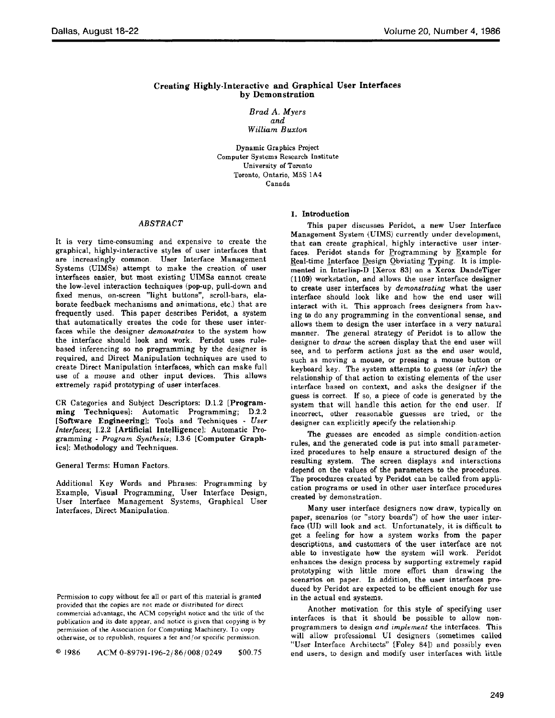# **Creating Highly-Interactive and Graphical User Interfaces by Demonstration**

*Brad A. Myers and William Buxton* 

Dynamic Graphics Project Computer Systems Research Institute University of Toronto Toronto, Ontario, M5S 1A4 Canada

# *ABSTRACT*

It is very time-consuming and expensive to create the graphical, highly-interactive styles of user interfaces that are increasingly common. User Interface Management Systems (UIMSs) attempt to make the creation of user interfaces easier, but most existing UIMSs cannot create the low-level interaction techniques (pop-up, pull-down and fixed menus, on-screen "light buttons", scroll-bars, elaborate feedback mechanisms and animations, etc.) that are frequently used. This paper describes Peridot, a system that automatically creates the code for these user interfaces while the designer *demonstrates* to the system how the interface should look and work. Peridot uses rulebased inferencing so no programming by the designer is required, and Direct Manipulation techniques are used to create Direct Manipulation interfaces, which can make full use of a mouse and other input devices. This allows extremely rapid prototyping of user interfaces.

CR Categories and Subject Descriptors: D.1.2 **[Programming** Techniques]: Automatic Programming; D.2.2 [Software Engineering]: Tools and Techniques - *User Interfaces;* 1.2.2 [Artificial Intelligence]: Automatic Programming - *Program Synthesis;* 1.3.6 [Computer Graphics]: Methodology and Techniques.

General Terms: Human Factors.

Additional Key Words and Phrases: Programming by Example, Visual Programming, User Interface Design, User Interface Management Systems, Graphical User Interfaces, Direct Manipulation.

Permission to copy without fee all or part of this material is granted provided that the copies are not made or distributed for direct commercial advantage, the ACM copyright notice and the title of the publication and its date appear, and notice is given that copying is by permission of the Association for Computing Machinery. To copy otherwise, or to republish, requires a fee and/or specific permission.

 $@1986$  ACM 0-89791-196-2/86/008/0249 \$00.75

# **1. Introduction**

This paper discusses Peridot, a new User Interface Management System (UIMS) currently under development, that can create graphical, highly interactive user interfaces. Peridot stands for Programming by Example for Real-time Interface Design Obviating Typing. It is implemented in Interlisp-D [Xerox 83] on a Xerox DandeTiger (1109) workstation, and allows the user interface designer to create user interfaces by *demonstrating* what the user interface should look like and how the end user will interact with it. This approach frees designers from having to do any programming in the conventional sense, and allows them to design the user interface in a very natural manner. The general strategy of Peridot is to allow the designer to *draw the* screen display that the end user will see, and to perform actions just as the end user would, such as moving a mouse, or pressing a mouse button or keyboard key. The system attempts to guess (or *infer)* the relationship of that action to existing elements of the user interface based on context, and asks the designer if the guess is correct. If so, a piece of code is generated by the system that will handle this action for the end user. If incorrect, other reasonable guesses are tried, or the designer can explicitly specify the relationship.

The guesses are encoded as simple condition-action rules, and the generated code is put into small parameterized procedures to help ensure a structured design of the resulting system. The screen displays and interactions depend on the values of the parameters to the procedures. The procedures created by Peridot can be called from application programs or used in other user interface procedures created by demonstration.

Many user interface designers now draw, typically on paper, scenarios (or "story boards") of how the user interface (UI) will look and act. Unfortunately, it is difficult to get a feeling for how a system works from the paper descriptions, and customers of the user interface are not able to investigate how the system will work. Peridot enhances the design process by supporting extremely rapid prototyping with little more effort than drawing the scenarios on paper. In addition, the user interfaces produced by Peridot are expected to be efficient enough for use in the actual end systems.

Another motivation for this style of specifying user interfaces is that it should be possible to allow nonprogrammers to design *and implement* the interfaces. This will allow professional UI designers (sometimes called "User Interface Architects" [Foley 84]) and possibly even end users, to design and modify user interfaces with little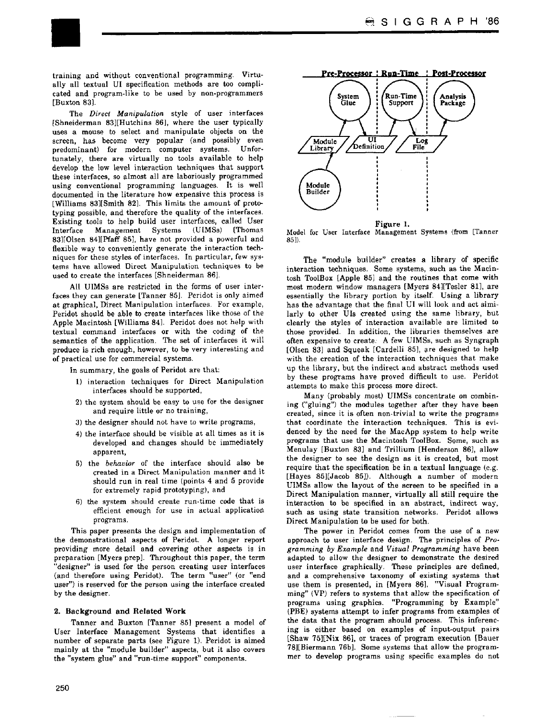I

training and without conventional programming. Virtually all textual UI specification methods are too complicated and program-like to be used by non-programmers [Buxton 83].

The *Direct Manipulation* style of user interfaces [Shneiderman 83][Hutchins 86], where the user typically uses a mouse to select and manipulate objects on the screen, has become very popular (and possibly even predominant) for modern computer systems. Unfortunately, there are virtually no tools available to help develop the low level interaction techniques that support these interfaces, so almost all are laboriously programmed using conventional programming languages. It is well documented in the literature how expensive this process is [Williams 83][Smith 82]. This limits the amount of prototyping possible, and therefore the quality of the interfaces. Existing tools to help build user interfaces, called User Interface Management Systems (UIMSs) [Thomas 83][Olsen 84][Pfaff 85], have not provided a powerful and flexible way to conveniently generate the interaction techniques for these styles of interfaces. In particular, few systems have allowed Direct Manipulation techniques to be used to create the interfaces [Shneiderman 86].

All UIMSs are restricted in the forms of user interfaces they can generate [Tanner 85]. Peridot is only aimed at graphical, Direct Manipulation interfaces. For example, Peridot should be able to create interfaces like those of the Apple Macintosh [Williams 84]. Peridot does not help with textual command interfaces or with the coding of the semantics of the application. The set of interfaces it will produce is rich enough, however, to be very interesting and of practical use for commercial systems.

In summary, the goals of Peridot are that:

- 1) interaction techniques for Direct Manipulation interfaces should be supported,
- 2) the system should be easy to use for the designer and require little or no training,
- 3) the designer should not have to write programs,
- 4) the interface should be visible at all times as it is developed and changes should be immediately apparent,
- 5) the *behavior* of the interface should also be created in a Direct Manipulation manner and it should run in real time (points 4 and 5 provide for extremely rapid prototyping), and
- 6) the system should create run-time code that is efficient enough for use in actual application programs.

This paper presents the design and implementation of the demonstrational aspects of Peridot. A longer report providing more detail and covering other aspects is in preparation [Myers prep]. Throughout this paper, the term "designer" is used for the person creating user interfaces (and therefore using Peridot). The term "user" (or "end user") is reserved for the person using the interface created by the designer.

# **2. Background and Related Work**

Tanner and Buxton [Tanner 85] present a model of User Interface Management Systems that identifies a number of separate parts (see Figure 1). Peridot is aimed mainly at the "module builder" aspects, but it also covers the "system glue" and "run-time support" components.



Figure 1. Model for User **Interface Management** Systems (from [Tanner 85]).

The "module builder" creates a library of specific interaction techniques. Some systems, such as the Macintosh ToolBox [Apple 85] and the routines that come with most modern window managers [Myers 84][Tesler 81], are essentially the library portion by itself. Using a library has the advantage that the final UI will look and act similarly to other UIs created using the same library, but clearly the styles of interaction available are limited to those provided. In addition, the libraries themselves **are**  often expensive to create: A few UIMSs, such as Syngraph [Olsen 83] and Squeak [Cardelli 85], are designed to help with the creation of the interaction techniques that make up the library, but the indirect and ahstract methods used by these programs have proved difficult to use. Peridot attemots to make this process more direct.

Many (probably most) UIMSs concentrate on combining ("gluing") the modules together after they have been created, since it is often non-trivial to write the programs that coordinate the interaction techniques. This is evidenced by the need for the MacApp system to help write programs that use the Macintosh ToolBox. Some, such as Menulay [Buxton 83] and Trillium [Henderson 86], allow the designer to see the design as it is created, but most require that the specification be in a textual language (e.g. [Hayes 85][Jacob 85]). Although a number of modern UIMSs allow the layout of the screen to be specified in a Direct Manipulation manner, virtually all still require the interaction to be specified in an abstract, indirect way, such as using state transition networks. Peridot allows Direct Manipulation to be used for both.

The power in Peridot comes from the use of a new approach to user interface design. The principles of *Programming by Example* and *Visual Programming* have been adapted to allow the designer to demonstrate the desired user interface graphically. These principles are defined, and a comprehensive taxonomy of existing systems that use them is presented, in [Myers 86]. "Visual Programming" (VP) refers to systems that allow the specification of programs using graphics. "Programming by Example" (PBE) systems attempt to infer programs from examples of the data that the program should process. This inferencing is either based on examples of input-output pairs [Shaw 75][Nix 86], or traces of program execution [Bauer 78][Biermann 76b]. Some systems that allow the programmer to develop programs using specific examples do not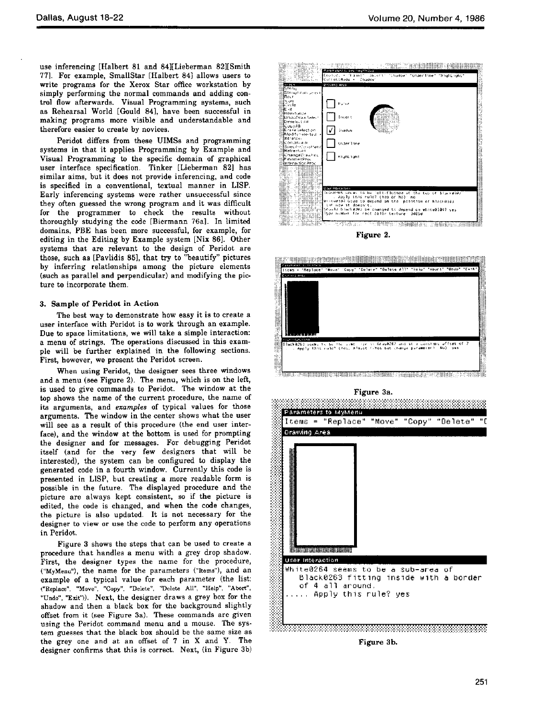use inferencing [Halbert 81 and 84][Lieberman 82][Smith 77]. For example, SmallStar [Halbert 84] allows users to write programs for the Xerox Star office workstation by simply performing the normal commands and adding control flow afterwards. Visual Programming systems, such as Rehearsal World [Gould 84], have been successful in making programs more visible and understandable and therefore easier to create by novices.

Peridot differs from these UIMSs and programming systems in that it applies Programming by Example and Visual Programming to the specific domain of graphical user interface specification. Tinker [Lieberman 82] has similar aims, but it does not provide inferencing, and code is specified in a conventional, textual manner in LISP. Early inferencing systems were rather unsuccessful since they often guessed the wrong program and it was difficult for the programmer to check the results without thoroughly studying the code [Biermann 76a]. In limited domains, PBE has been more successful, for example, for editing in the Editing by Example system [Nix 86]. Other systems that are relevant to the design of Peridot are those, such as [Pavlidis 85], that try to "beautify" pictures by inferring relationships among the picture elements (such as parallel and perpendicular) and modifying the picture to incorporate them.

# **3. Sample of Peridot in** Action

The best way to demonstrate how easy it is to create a user interface with Peridot is to work through an example. Due to space limitations, we will take a simple interaction: a menu of strings. The operations discussed in this example will be further explained in the following sections. First, however, we present the Peridot screen.

When using Peridot, the designer sees three windows and a menu (see Figure 2). The menu, which is on the left, is used to give commands to Peridot. The window at the top shows the name of the current procedure, the name of its arguments, and *examples* of typical values for those arguments. The window in the center shows what the user will see as a result of this procedure (the end user interface), and the window at the bottom is used for prompting the designer and for messages. For debugging Peridot itself (and for the very few designers that will be interested), the system can be configured to display the generated code in a fourth window. Currently this code is presented in LISP, but creating a more readable form is possible in the future. The displayed procedure and the picture are always kept consistent, so if the picture is edited, the code is changed, and when the code changes, the picture is also updated. It is not necessary for the designer to view or use the code to perform any operations in Peridot.

Figure 3 shows the steps that can be used to create a procedure that handles a menu with a grey drop shadow. First, the designer types the name for the procedure, ("MyMenu"), the name for the parameters ("Items"), and an example of a typical value for each parameter (the list: ("Replace", "Move", "Copy", "Delete", "Delete All", "Help", "Abort", "Undo", "Exit")). Next, the designer draws a grey box for the shadow and then a black box for the background slightly offset from it (see Figure 3a). These commands are given using the Peridot command menu and a mouse. The system guesses that the black box should be the same size as the grey one and at an offset of 7 in X and Y. The designer confirms that this is correct. Next, (in Figure 3b)









Figure 3b.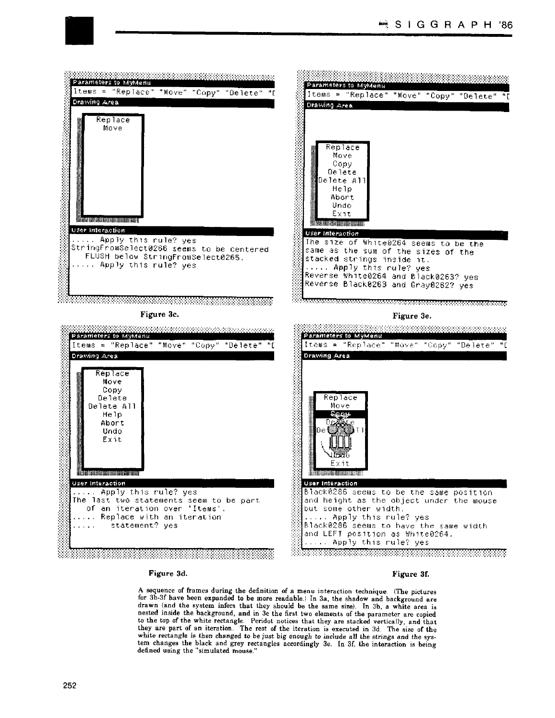

**Figure 3c.** 



# Parameters to MyMenu Items = "Replace" "Move" "Copy" "Delete" Drawing Area ~| Replac:e Move **ii** 11 **i** 12 **i** 13 **i** 14 **i User Interaction** Black0286 seems to be the same position and height as the object under the mouse but some other width, ..... Apply this rule? yes  $\beta$ lack0286 seems to have the same width and LEFT position as White0264, ..... Apply t.his rule? yes

**Figure 3e.** 

# Figure 3d. **Figure 3d. Figure 31.**

**A sequence of frames during the definition of a menu interaction technique. (The pictures for 3b-3f have been expanded to be more readable.) [n 3a, the shadow and background are drawn (and the system infers that they should be the same size). In 3b, a white area is nested inside the background, and in 3c the first two elements of the parameter are copied to the top of the white rectangle. Peridot notices that they are stacked vertically, and that they are part of an iteration. The rest of the iteration is executed in 3d. The size of the white rectangle is then changed to be just big enough to** *include* **all the strings and the system changes the black and grey rectangles accordingly 3e. In 3f, the interaction is being defined using the "simulated mouse."**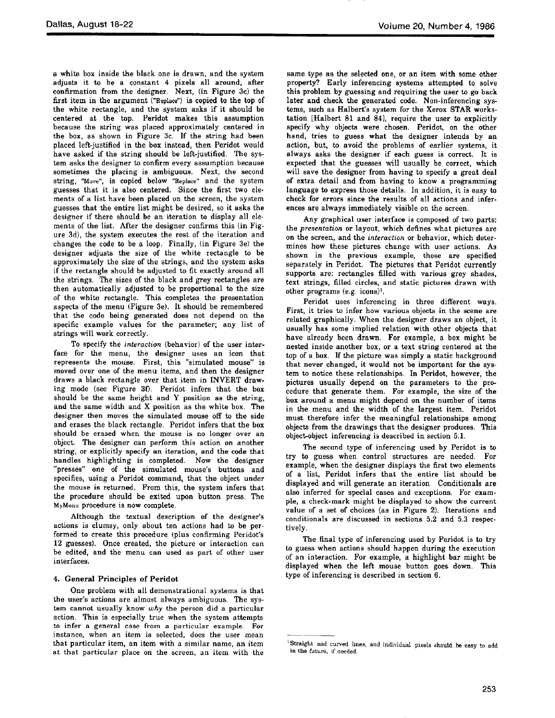a white box inside the black one is drawn, and the system adjusts it to be a constant 4 pixels all around, after confirmation from the designer. Next, (in Figure 3c) the first item in the argument ('"Replace") is copied to the top of the white rectangle, and the system asks if it should be centered at the top. Peridot makes this assumption because the string was placed approximately centered in the box, as shown in Figure 3c. If the string had been placed left-justified in the box instead, then Peridot would have asked if the string should be left-justified. The system asks the designer to confirm every assumption because sometimes the placing is ambiguous. Next, the second string, "Move", is copied below "Replace" and the system guesses that it is also centered. Since the first two elements of a list have been placed on the screen, the system guesses that the entire list might be desired, so it asks the designer if there should be an iteration to display all elements of the list. After the designer confirms this (in Figure 3d), the system executes the rest of the iteration and changes the cede to be a loop. Finally, (in Figure 3e) the designer adjusts the size of the white rectangle to be approximately the size of the strings, and the system asks if the rectangle should be adjusted to fit exactly around all the strings. The sizes of the black and grey rectangles are then automatically adjusted to be proportional to the size of the white rectangle. This completes the presentation aspects of the menu (Figure 3e). It should be remembered that the code being generated does not depend on the specific example values for the parameter; any list of strings will work correctly.

To specify the *interaction* (behavior) of the user interface for the menu, the designer uses an icon that represents the mouse. First, this "simulated mouse" is moved over one of the menu items, and then the designer draws a black rectangle over that item in INVERT drawing mode (see Figure 3f). Peridot infers that the box should be the same height and Y position as the string, and the same width and X position as the white box. The designer then moves the simulated mouse off to the side and erases the black rectangle. Peridot infers that the box should be erased when the mouse is no longer over an object. The designer can perform this action on another string, or explicitly specify an iteration, and the code that handles highlighting is completed. Now the designer "presses" one of the simulated mouse's buttons and specifies, using a Peridot command, that the object under the mouse is returned. From this, the system infers that the procedure should be exited upon button press. The MyMenu procedure is now complete.

Although the textual description of the designer's actions is clumsy, only about ten actions had to be performed to create this procedure (plus confirming Peridot's 12 guesses). Once created, the picture or interaction can be edited, and the menu can used as part of other user interfaces.

# **4. General Principles of Peridot**

One problem with all demonstrational systems is that the user's actions are almost always ambiguous. The system cannot usually know *why the* person did a particular action. This is especially true when the system attempts to infer a general case from a particular example. For instance, when an item is selected, does the user mean that particular item, an item with a similar name, an item at that particular place on the screen, an item with the

same type as the selected one, or an item with some other property? Early inferencing systems attempted to solve this problem by guessing and requiring the user to go back later and check the generated code. Non-inferencing systems, such as Halbert's system for the Xerox STAR workstation [Halbert 81 and 84], require the user to explicitly specify why objects were chosen. Peridot, on the other hand, tries to guess what the designer intends by an action, but, to avoid the problems of earlier systems, it always asks the designer if each guess is correct. It is expected that the guesses will usually be correct, which will save the designer from having to specify a great deal of extra detail and from having to know a programming language to express those details. In addition, it is easy to check for errors since the results of all actions and inferences are always immediately visible on the screen.

Any graphical user interface is composed of two parts: the *presentation* or layout, which defines what pictures are on the screen, and the *interaction* or behavior, which determines how these pictures change with user actions. As shown in the previous example, these are specified separately in Peridot. The pictures that Peridot currently supports are: rectangles filled with various grey shades, text strings, filled circles, and static pictures drawn with other programs  $(e.g.$  icons)<sup>1</sup>.

Peridot uses inferencing in three different ways. First, it tries to infer how various objects in the scene are related graphically. When the designer draws an object, it usually has some implied relation with other objects that have already been drawn. For example, a box might be nested inside another box, or a text string centered at the top of a box. If the picture was simply a static background that never changed, it would not be important for the system to notice these relationships. In Peridot, however, the pictures usually depend on the parameters to the procedure that generate them. For example, the size of the box around a menu might depend on the number of items in the menu and the width of the largest item. Peridot must therefore infer the meaningful relationships among objects from the drawings that the designer produces. This object-object inferencing is described in section 5.1.

The second type of inferencing used by Peridot is to try to guess when control structures are needed. For example, when the designer displays the first two elements of a list, Peridot infers that the entire list should be displayed and will generate an iteration. Conditionals are also inferred for special cases and exceptions. For example, a check-mark might be displayed to show the current value of a set of choices (as in Figure 2). Iterations and conditionals are discussed in sections 5.2 and 5.3 respectively.

The final type of inferencing used by Peridot is to try to guess when actions should happen during the execution of an interaction. For example, a highlight bar might be displayed when the left mouse button goes down. This type of inferencing is described in section 6.

i Straight and curved lines, and individual pixels should be easy to add in the future, if needed.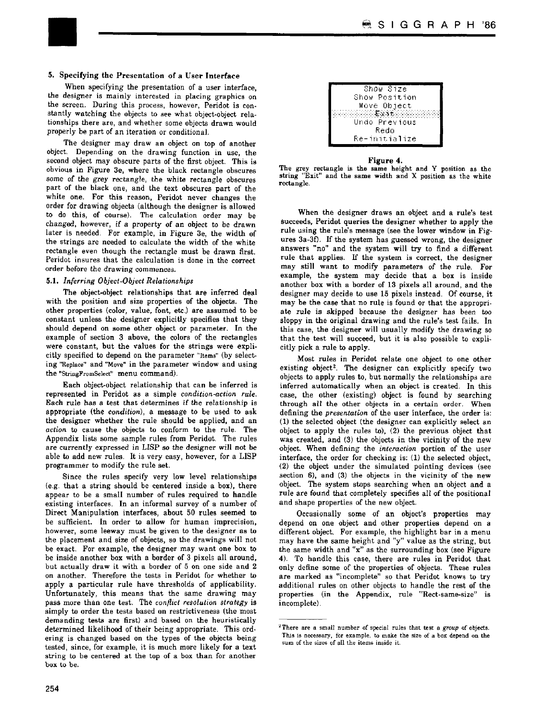# 5. Specifying the Presentation of a User Interface

When specifying the presentation of a user interface, the designer is mainly interested in placing graphics on the screen. During this process, however, Peridot is constantly watching the objects to see what object-object relationships there are, and whether some objects drawn would properly be part of an iteration or conditional.

The designer may draw an object on top of another object. Depending on the drawing function in use, the second object may obscure parts of the first object. This is obvious in Figure 3e, where the black rectangle obscures some of *the* grey rectangle, the white rectangle obscures part of the black one, and the text obscures part of the white one. For this reason, Peridot never changes the order for drawing objects (although the designer is allowed to do this, of course). The calculation order may be changed, however, if a property of an object to be drawn later is needed. For example, in Figure 3e, the width of the strings are needed to calculate the width of the white rectangle even though the rectangle must be drawn first. Peridot insures that the calculation is done in the correct order before the drawing commences.

# 5.L *Inferring Object-Object Relationships*

The object-object relationships that are inferred deal with the position and size properties of the objects. The other properties (color, value, font, etc.) are assumed to be constant unless the designer explicitly specifies that they should depend on some other object or parameter. In the example of section 3 above, the colors of the rectangles were constant, but the values for the strings were explicitly specified to depend on the parameter "Items" (by selecting "Replace" and "Move" in the parameter window and using the "StringFromSelect" menu command).

Each object-object relationship that can be inferred is represented in Peridot as a simple *condition-action rule.*  Each rule has a test that determines if the relationship is appropriate (the *condition),* a message to be used to ask the designer whether the rule should be applied, and an *action to* cause the objects to conform to the rule. The Appendix lists some sample rules from Peridot. The rules are currently expressed in LISP so the designer will not be able to add new rules. It is very easy, however, for a LISP programmer to modify the rule set.

Since the rules specify very low level relationships (e.g. that a string should be centered inside a box), there appear to be a small number of rules required to handle existing interfaces. In an informal survey of a number of Direct Manipulation interfaces, about 50 rules seemed to be sufficient. In order to allow for human imprecision, however, some leeway must be given to the designer as to the placement and size of objects, so the drawings will not be exact. For example, the designer may want one box to be inside another box with a border of 3 pixels all around, but actually draw it with a border of 5 on one side and 2 on another. Therefore the tests in Peridot for whether to apply a particular rule have thresholds of applicability. Unfortunately, this means that the same drawing may pass more than one test. The *conflict resolution strategy* is simply to order the tests based on restrictiveness (the most demanding tests are first) and based on the heuristically determined likelihood of their being appropriate. This ordering is changed based on the types of the objects being tested, since, for example, it is much more likely for a text string to be centered at the top of a box than for another box to be.

| Show Size     |  |
|---------------|--|
| Show Position |  |
| Move Object   |  |
|               |  |
| Undo Previous |  |
| Redo          |  |
| Re-initialize |  |

### Figure 4.

**The** grey rectangle is **the same height and** Y position as **the string** "Exit" and **the same width and X** position as the white rectangle.

When the designer draws an object and a rule's test succeeds, Peridot queries the designer whether to apply the rule using the rule's message (see the lower window in Figures 3a-3f). If the system has guessed wrong, the designer answers "no" and the system will try to find a different rule that applies. If the system is correct, the designer may still want to modify parameters of the rule. For example, the system may decide that a box is inside another box with a border of 13 pixels all around, and the designer may decide to use 15 pixels instead. Of course, it may be the case that no rule is found or that the appropriate rule is skipped because the designer has been too sloppy in the original drawing and the rule's test fails. In this case, the designer will usually modify the drawing so that the test will succeed, but it is also possible to explicitly pick a rule to apply.

Most rules in Peridot relate one object to one other existing object<sup>2</sup>. The designer can explicitly specify two objects to apply rules to, but normally the relationships are inferred automatically when an object is created. In this case, the other (existing) object is found by searching through all the other objects in a certain order. When defining the *presentation* of the user interface, the order is: (1) the selected object (the designer can explicitly select an object to apply the rules to), (2) the previous object that was created, and (3) the objects in the vicinity of the new object. When defining the *interaction* portion of the user interface, the order for checking is: (1) the selected object, (2) the object under the simulated pointing devices (see section 6), and (3) the objects in the vicinity of the new object. The system stops searching when an object and a rule are found that completely specifies all of the positional and shape properties of the new object.

Occasionally some of an object's properties may depend on one object and other properties depend on a different object. For example, the highlight bar in a menu may have the same height and "y" value as the string, but the same width and "x" as the surrounding box (see Figure 4). To handle this case, there are rules in Peridot that only define some of the properties of objects. These rules are marked as "incomplete" so that Peridot knows to try additional rules on other objects to handle the rest of the properties (in the Appendix, rule "Rect-same-size" is incomplete).

<sup>2</sup>There are a small number of special rules that test a *group* of objects. This is necessary, for example, to make the size of a box depend on the sum of the sizes of all the items inside it.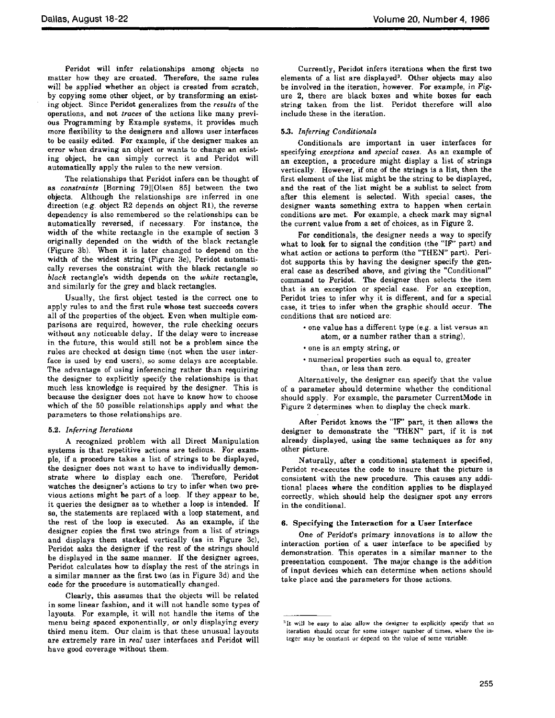Peridot will infer relationships among objects no matter how they are created. Therefore, the same rules will be applied whether an object is created from scratch, by copying some other object, or by transforming an existing object. Since Peridot generalizes from the *results* of the operations, and not *traces* of the actions like many previous Programming by Example systems, it provides much more flexibility to the designers and allows user interfaces to be easily edited. For example, if the designer makes an error when drawing an object or wants to change an existing object, he can simply correct it and Peridot will automatically apply the rules to the new version.

The relationships that Peridot infers can be thought of as *constraints* [Borning 79][Olsen 85] between the two objects. Although the relationships are inferred in one direction (e.g. object R2 depends on object R1), the reverse dependency is also remembered so the relationships can be automatically reversed, if necessary. For instance, the width of the white rectangle in the example of section 3 originally depended on the width of the black rectangle (Figure 3b). When it is later changed to depend on the width of the widest string (Figure 3e), Peridot automatically reverses the constraint with the black rectangle so *black* rectangle's width depends on the *white* rectangle, and similarly for the grey and black rectangles.

Usually, the first object tested is the correct one to apply rules to and the first rule whose test succeeds covers all of the properties of the object. Even when multiple comparisons are required, however, the rule checking occurs without any noticeable delay. If the delay were to increase in the future, this would still not be a problem since the rules are checked at design time (not when the user interface is used by end users), so some delays are acceptable. The advantage of using inferencing rather than requiring the designer to explicitly specify the relationships is that much less knowledge is required by the designer. This is because the designer does not have to know how to choose which of the 50 possible relationships apply and what the parameters to those relationships are.

# 5.2. *Inferring Iterations*

A recognized problem with all Direct Manipulation systems is that repetitive actions are tedious. For example, if a procedure takes a list of strings to be displayed, the designer does not want to have to individually demonstrate where to display each one. Therefore, Peridot watches the designer's actions to try to infer when two previous actions might be part of a loop. If they appear to be, it queries the designer as to whether a loop is intended. If so, the statements are replaced with a loop statement, and the rest of the loop is executed. As an example, if the designer copies the first two strings from a list of strings and displays them stacked vertically (as in Figure 3c), Peridot asks the designer if the rest of the strings should be displayed in the same manner. If the designer agrees, Peridot calculates how to display the rest of the strings in a similar manner as the first two (as in Figure 3d) and the code for the procedure is automatically changed.

Clearly, this assumes that the objects will be related in some linear fashion, and it will not handle some types of layouts. For example, it will not handle the items of the menu being spaced exponentially, or only displaying every third menu item. Our claim is that these unusual layouts are extremely rare in *real* user interfaces and Peridot will have good coverage without them.

Currently, Peridot infers iterations when the first two elements of a list are displayed<sup>3</sup>. Other objects may also be involved in the iteration, however. For example, in Figure 2, there are black boxes and white boxes for each string taken from the list. Peridot therefore will also include these in the iteration.

# 5.3. *Inferring Conditionals*

Conditionals are important in user interfaces for specifying *exceptions* and *special cases.* As an example of an exception, a procedure might display a list of strings vertically. However, if one of the strings is a list, then the first element of the list might be the string to be displayed, and the rest of the list might be a sublist to select from after this element is selected. With special cases, the designer wants something extra to happen when certain conditions are met. For example, a check mark may signal the current value from a set of choices, as in Figure 2.

For conditionals, the designer needs a way to specify what to look for to signal the condition (the "IF" part) and what action or actions to perform (the "THEN" part). Peridot supports this by having the designer specify the general case as described above, and giving the "Conditional" command to Peridot. The designer then selects the item that is an exception or special case. For an exception, Peridot tries to infer why it is different, and for a special case, it tries to infer when the graphic should occur. The conditions that are noticed are:

- one value has a different type (e.g. a list versus an atom, or a number rather than a string),
- one is an empty string, or
- numerical properties such as equal to, greater than, or less than zero.

Alternatively, the designer can specify that the value of a parameter should determine whether the conditional should apply. For example, the parameter CurrentMode in Figure 2 determines when to display the check mark.

After Peridot knows the "IF" part, it then allows the designer to demonstrate the "THEN" part, if it is not already displayed, using the same techniques as for any other picture.

Naturally, after a conditional statement is specified, Peridot re-executes the code to insure that the picture is consistent with the new procedure. This causes any additional places where the condition applies to be displayed correctly, which should help the designer spot any errors in the conditional.

# **6. Specifying the Interaction for a User Interface**

One of Peridot's primary innovations is to allow the interaction portion of a user interface to be specified by demonstration. This operates in a similar manner to the presentation component. The major change is the addition of input devices which can determine when actions should take place and the parameters for those actions.

 ${}^{3}$ It will be easy to also allow the designer to explicitly specify that an iteration should occur for some integer number of times, where the integer may be constant or depend on the value of some variable.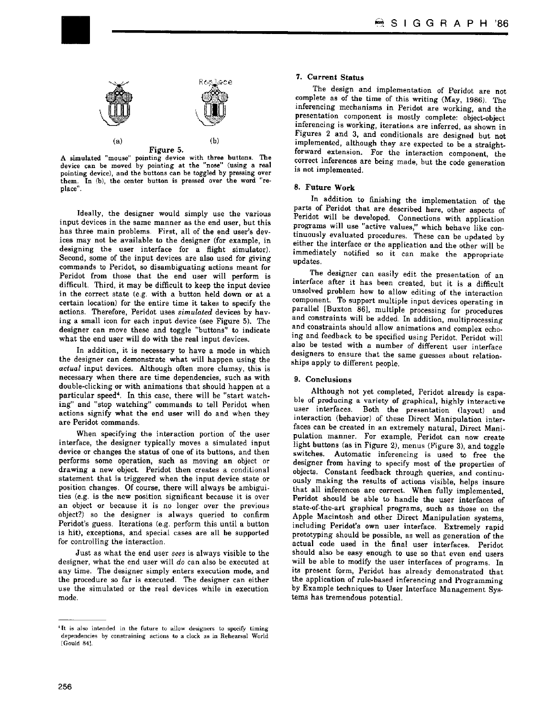

A simulated "mouse" pointing device with three buttons. The device can be moved by pointing at the "nose" (using a real pointing device), and the buttons can be toggled by pressing over them. In (b), the center button is pressed over the word "replace".

Ideally, the designer would simply use the various input devices in the same manner as the end user, but this has three main problems. First, all of the end user's devices may not be available to the designer (for example, in designing the user interface for a flight simulator). Second, some of the input devices are also used for giving commands to Peridot, so disambiguating actions meant for Peridot from those that the end user will perform is difficult. Third, it may be difficult to keep the input device in the correct state (e.g. with a button held down or at a certain location) for the entire time it takes to specify the actions. Therefore, Peridot uses *simulated* devices by having a small icon for each input device (see Figure 5). The designer can move these and toggle "buttons" to indicate what the end user will do with the real input devices.

In addition, it is necessary to have a mode in which the designer can demonstrate what will happen using the *actual* input devices. Although often more clumsy, this is necessary when there are time dependencies, such as with double-clicking or with animations that should happen at a particular speed<sup>4</sup>. In this case, there will be "start watching" and "stop watching" commands to tell Peridot when actions signify what the end user will do and when they are Peridot commands.

When specifying the interaction portion of the user interface, the designer typically moves a simulated input device or changes the status of one of its buttons, and then performs some operation, such as moving an object or drawing a new object. Peridot then creates a conditional statement that is triggered when the input device state or position changes. Of course, there will always be ambiguities (e.g. is the new position significant because it is over an object or because it is no longer over the previous object?) so the designer is always queried to confirm Peridot's guess. Iterations (e.g. perform this until a button is hit), exceptions, and special cases are all be supported for controlling the interaction.

Just as what the end user *sees* is always visible to the designer, what the end user will *do* can also be executed at any time. The designer simply enters execution mode, and the procedure so far is executed. The designer can either use the simulated or the real devices while in execution mode.

# **7. Current Status**

The design and implementation of Peridot are not complete as of the time of this writing (May, 1986). The inferencing mechanisms in Peridot are working, and the presentation component is mostly complete: object-object inferencing is working, iterations are inferred, as shown in Figures 2 and 3, and conditionals are designed but not implemented, although they are expected to be a straightforward extension. For the interaction component, the correct inferences are being made, but the code generation is not implemented.

# 8. Future Work

In addition to finishing the implementation of the parts of Peridot that are described here, other aspects of Peridot will be developed. Connections with application programs will use "active values," which behave like continuously evaluated procedures. These can be updated by either the interface or the application and the other will be immediately notified so it can make the appropriate updates.

The designer can easily edit the presentation of an interface after it has been created, but it is a difficult unsolved problem how to allow editing of the interaction component. To support multiple input devices operating in parallel [Buxton 86], multiple processing for procedures and constraints will be added. In addition, multiprocessing and constraints should allow animations and complex echoing and feedback to be specified using Peridot. Peridot will also be tested with a number of different user interface designers to ensure that the same guesses about relationships apply to different people.

# **9. Conclusions**

Although not yet completed, Peridot already is capable of producing a variety of graphical, highly interactive user interfaces. Both the presentation (layout) and interaction (behavior) of these Direct Manipulation interfaces can be created in an extremely natural, Direct Manipulation manner. For example, Peridot can now create light buttons (as in Figure 2), menus (Figure 3), and toggle switches. Automatic inferencing is used to free the designer from having to specify most of the properties of objects. Constant feedback through queries, and continuously making the results of actions visible, helps insure that all inferences are correct. When fully implemented, Peridot should be able to handle the user interfaces of state-of-the-art graphical programs, such as those on the Apple Macintosh and other Direct Manipulation systems, including Peridot's own user interface. Extremely rapid prototyping should be possible, as well as generation of the actual code used in the final user interfaces. Peridot should also be easy enough to use so that even end users will be able to modify the user interfaces of programs. In its present form, Peridot has already demonstrated that the application of rule-based inferencing and Programming by Example techniques to User Interface Management Systems has tremendous potential.

<sup>&</sup>lt;sup>4</sup>It is also intended in the future to allow designers to specify timing dependencies by constraining actions to a clock as in Rehearsal World [Gould 84].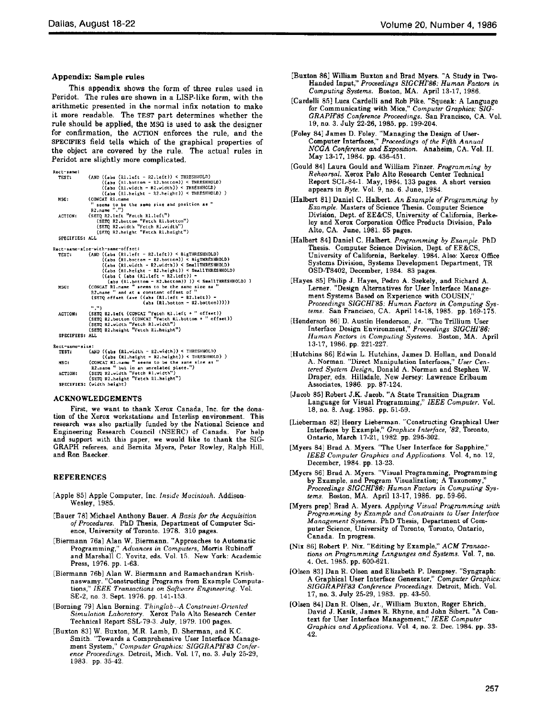# **Appendix:** Sample rules

This appendix shows the form of three rules used in Peridot. The rules are shown in a LISP-like form, with the arithmetic presented in the normal infix notation to make it more readable. The TEST part determines whether the rule should be applied, the MSG is used to ask the designer for confirmation, the ACTION enforces the rule, and the SPECIFIES field tells which of the graphical properties of the object are covered by the rule. The actual rules in Peridot are slightly more complicated.

| Rect-same:      |                                                                                         |
|-----------------|-----------------------------------------------------------------------------------------|
| TEST:           | $(AND ((abs (R1.1efft - R2.1eff)) < THRESHHOLD)$                                        |
|                 | $((abs (R1.botcom - R2.botcom)) < THRESHHOLD)$                                          |
|                 | $((abs (R1, width - R2, width)) < THRESHHOLD)$                                          |
|                 | ((abs (Rl.height - R2.height)) < THRESHHOLD) )                                          |
| MSG:            | (CONCAT R1.name                                                                         |
|                 | " seems to be the same size and position as "                                           |
|                 | R2 name ".")                                                                            |
| ACTION:         | (SETQ R2.1eft "Fetch R1.1eft")                                                          |
|                 | (SETO R2.bottom "Fetch R1.bottom")                                                      |
|                 | (SETO R2.width "Fetch R1.width")                                                        |
|                 | (SETO R2 height "Fetch R1 height")                                                      |
| SPECIFIES: ALL  |                                                                                         |
|                 |                                                                                         |
|                 | Rect-same-size-with-same-offset:                                                        |
| TEST:           | (AND ((abs (Ri.left - R2.left)) < BigTHRESHHOLD)                                        |
|                 | ((abs (RI.bottom - R2.bottom)) < BigTHRESHEOLD)                                         |
|                 | $((abs (R1width - R2.width)) < SmalITHRESHHOLD)$                                        |
|                 | $((abs (RI. height - R2. height)) <$ SmallTHRESHHOLD)                                   |
|                 | $((abs (abs (Rl.left - R2.left)) -$                                                     |
|                 | $(nb)$ (Rl.bottom - R2.bottom)) )) < SmallTHRESHHOLD) )                                 |
| MSG:            | (CONCAT R1.name " seems to be the same size as "                                        |
|                 | R2.name " and at a constant offset of "                                                 |
|                 | $(STQ$ offset (ave $((aha (R1.1eff - R2.1eff)))$ -                                      |
|                 | $(abs (R1.bottom - R2.bottom)))$                                                        |
|                 | ".")                                                                                    |
| <b>ACTION:</b>  | (SETO R2.left (CONCAT "Fetch R1.left + " offset))                                       |
|                 | (SETQ R2.bottom (CONCAT "Fetch R1.bottom + " offset))                                   |
|                 | (SETO R2.width "Fetch R1.width")                                                        |
|                 | (SETO R2.height "Fetch R1.height")                                                      |
| SPECIFIES: ALL  |                                                                                         |
| Rect-same-size: |                                                                                         |
| TEST:           | $(\text{AND}$ $((\text{abs} \ \text{(R1.width} - \text{R2,width})) < \text{THESHHOLD})$ |
|                 | $((abs (R1. height - R2. height)) <$ THRESHHOLD))                                       |
| NSC:            | (CONCAT R1, name " seems to be the same size as "                                       |
|                 | R2.name " but in an unrelated place.")                                                  |
| <b>ACTION:</b>  | (SETO R2.width "Fetch R1.width")                                                        |
|                 | (SETO R2.height "Fetch R1.height")                                                      |
|                 | SPECIFIES: (width height)                                                               |

#### ACKNOWLEDGEMENTS

First, we want to thank Xerox Canada, Inc. for the donation of the Xerox workstations and Interlisp environment. This research was also partially funded by the National Science and Engineering Research Council (NSERC) of Canada. For help and support with this paper, we would like to thank the SIG-GRAPH referees, and Bernita Myers, Peter Rowley, Ralph Hill, and Ron Baecker.

# **REFERENCES**

- [Apple 85] Apple Computer, Inc. *Inside Macintosh.* Addison-Wesley, 1985.
- [Bauer 78] Michael Anthony Bauer. *A Basis for the Acquisition of Procedures.* PhD Thesis, Department of Computer Science, University of Toronto. 1978. 310 pages.
- [Biermann 76a] Alan W. Biermann. "Approaches to Automatic Programming," *Advances in Computers,* Morris Rubinoff and Marshall C. Yovitz, eds. Vol. 15. New York: Academic Press, 1976. pp. 1-63.
- [Biermann 76b] Alan W. Biermann and Ramachandran Krishnaswamy. "Constructing Programs from Example Computations," *IEEE Transactions on Software Engineering.* Vol. SE-2, no. 3. Sept. 1976. pp. 141-153.
- [Borning 79] Alan Borning. *Thinglab--A Constraint-Oriented Simulation Laboratory.* Xerox Palo Alto Research Center Technical Report SSL-79-3. July, 1979. 100 pages.
- [Buxton 83] W. Buxton, M.R. Lamb, D. Sherman, and K.C. Smith. "Towards a Comprehensive User Interface Management System," *Computer Graphics: SIGGRAPH'83 Conference Proceedings.* Detroit, Mich. Vol. 17, no. 3. July 25-29, 1983. pp. 35-42.
- [Buxton 86] William Buxton and Brad Myers. "A Study in Two-Handed Input," *Proceedings SIGCHI'86: Human Factors in Computing Systems.* Boston, MA. April 13-17, 1986.
- [Cardelli 85] Luca Cardelli and Rob Pike. "Squeak: A Language for Communicating with Mice," *Computer Graphics: SIG-GRAPH'85 Conference Proceedings.* San Francisco, CA. Vol. 19, no. 3. July 22-26, 1985. pp. 199-204.
- [Foley 84] James D. Foley. "Managing the Design of User-Computer Interfaces," *Proceedings of the Fifth Annual NCGA Conference and Exposition.* Anaheim, CA. Vol. If. May 13-17, 1984. pp. 436-451.
- [Gould 84] Laura Gould and William Finzer. *Programming by Rehearsal.* Xerox Palo Alto Research Center Technical Report SCL-84-1. May, 1984. 133 pages. A short version appears in *Byte.* Vol. 9, no. 6. June, 1984.
- [Halbert 81] Daniel C. Halbert. *An Example of Programming by Example.* Masters of Science Thesis. Computer Science Division, Dept. of EE&CS, University of California, Berkeley and Xerox Corporation Office Products Division, Palo Alto, CA. June, 1981.55 pages.
- [Halbert 84] Daniel C. Halbert. *Programming by Example.* PhD Thesis. Computer Science Division, Dept. of EE&CS, University of California, Berkeley. 1984. Also: Xerox Office Systems Division, Systems Development Department, TR OSD-T8402, December, 1984. 83 pages.
- [Hayes 85] Philip J. Hayes, Pedro A. Szekely, and Richard A. Lerner. "Design Alternatives for User Interface Management Systems Based on Experience with COUSIN, *Proceedings SIGCHI'85: Human Factors in Computing Systems.* San Francisco, CA. April 14-18, 1985. pp. 169-175.
- [Henderson 86] D. Austin Henderson, Jr. "The Trillium User Interface Design Environment," *Proceedings SIGCHI'86: Human Factors in Computing Systems.* Boston, MA. April 13-17, 1986. pp. 221-227.
- [Hutehins 86] Edwin L. Hutchins, James D. Hollan, and Donald A. Norman. "Direct Manipulation Interfaces," *User Centered System Design,* Donald A. Norman and Stephen W. Draper, eds. Hillsdale, New Jersey: Lawrence Erlbaum Associates, 1986. pp. 87-124.
- [Jacob 85] Robert J.K. Jacob. "A State Transition Diagram Language for Visual Programming," *IEEE Computer.* Vol. 18, no. 8. Aug. 1985. pp. 51-59.
- [Lieberman 82] Henry Lieberman. "Constructing Graphical User Interfaces by Example," *Graphics Interface, '82,* Toronto, Ontario, March 17-21, 1982. pp. 295-302.
- [Myers 84] Brad A. Myers. "The User Interface for Sapphire," *IEEE Computer Graphics and Applications.* Vol. 4, no. 12, December, 1984. pp. 13-23.
- [Myers 86] Brad A. Myers. "Visual Programming, Programming by Example, and Program Visualization; A Taxonomy," *Proceedings SIGCHI'86: Human Factors in Computing Systems.* Boston, MA. April 13-17, 1986. pp. 59-66.
- [Myers prep] Brad A. Myers. *Applying Visual Programming with Programming by Example and Constraints to User Interface Management Systems.* PhD Thesis, Department of Computer Science, University of Toronto, Toronto, Ontario, Canada. In progress.
- [Nix 86] Robert P. Nix. "Editing by Example," *ACM Transactions on Programming Languages and Systems.* Vol. 7, no. 4. Oct. 1985. pp. 600-621.
- [Olsen 83] Dan R. Olsen and Elizabeth P. Dempsey. "Syngraph: A Graphical User Interface Generator," *Computer Graphics: SIGGRAPH'83 Conference Proceedings.* Detroit, Mich. Vol. 17, no. 3. July 25-29, 1983. pp. 43-50.
- [Olsen 84] Dan R. Olsen, Jr., William Buxton, Roger Ehrich, David J. Kasik, James R. Rhyne, and John Sibert. "A Context for User Interface Management," *IEEE Computer Graphics and Applications.* Vol. 4, no. 2. Dec. 1984. pp. 33- 42.